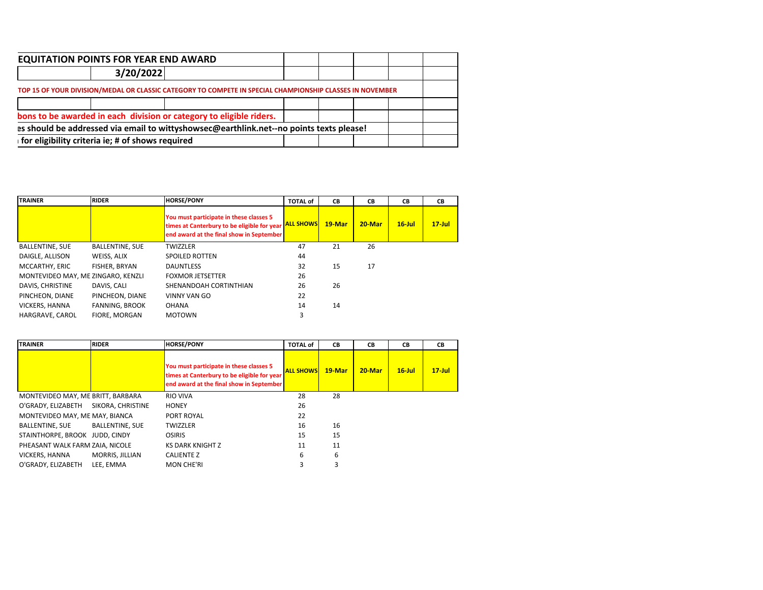| <b>EQUITATION POINTS FOR YEAR END AWARD</b>      |                                                                                                          |  |  |  |
|--------------------------------------------------|----------------------------------------------------------------------------------------------------------|--|--|--|
| 3/20/2022                                        |                                                                                                          |  |  |  |
|                                                  | TOP 15 OF YOUR DIVISION/MEDAL OR CLASSIC CATEGORY TO COMPETE IN SPECIAL CHAMPIONSHIP CLASSES IN NOVEMBER |  |  |  |
|                                                  |                                                                                                          |  |  |  |
|                                                  | bons to be awarded in each division or category to eligible riders.                                      |  |  |  |
|                                                  | as should be addressed via email to wittyshowsec@earthlink.net--no points texts please!                  |  |  |  |
| for eligibility criteria ie; # of shows required |                                                                                                          |  |  |  |

| <b>TRAINER</b>                     | <b>RIDER</b>           | <b>HORSE/PONY</b>                                                                                                                  | <b>TOTAL of</b>  | CВ     | CВ     | CВ        | CВ         |
|------------------------------------|------------------------|------------------------------------------------------------------------------------------------------------------------------------|------------------|--------|--------|-----------|------------|
|                                    |                        | You must participate in these classes 5<br>times at Canterbury to be eligible for year<br>end award at the final show in September | <b>ALL SHOWS</b> | 19-Mar | 20-Mar | $16$ -Jul | $17 -$ Jul |
| <b>BALLENTINE, SUE</b>             | <b>BALLENTINE, SUE</b> | <b>TWIZZLER</b>                                                                                                                    | 47               | 21     | 26     |           |            |
| DAIGLE, ALLISON                    | WEISS, ALIX            | <b>SPOILED ROTTEN</b>                                                                                                              | 44               |        |        |           |            |
| MCCARTHY, ERIC                     | FISHER, BRYAN          | <b>DAUNTLESS</b>                                                                                                                   | 32               | 15     | 17     |           |            |
| MONTEVIDEO MAY, ME ZINGARO, KENZLI |                        | <b>FOXMOR JETSETTER</b>                                                                                                            | 26               |        |        |           |            |
| DAVIS, CHRISTINE                   | DAVIS, CALI            | SHENANDOAH CORTINTHIAN                                                                                                             | 26               | 26     |        |           |            |
| PINCHEON, DIANE                    | PINCHEON, DIANE        | <b>VINNY VAN GO</b>                                                                                                                | 22               |        |        |           |            |
| <b>VICKERS, HANNA</b>              | <b>FANNING, BROOK</b>  | <b>OHANA</b>                                                                                                                       | 14               | 14     |        |           |            |
| HARGRAVE, CAROL                    | <b>FIORE, MORGAN</b>   | <b>MOTOWN</b>                                                                                                                      | 3                |        |        |           |            |

| <b>TRAINER</b>                    | <b>RIDER</b>           | <b>HORSE/PONY</b>                                                                                                                  | <b>TOTAL of</b>  | СB       | СB        | <b>CB</b> | CВ        |
|-----------------------------------|------------------------|------------------------------------------------------------------------------------------------------------------------------------|------------------|----------|-----------|-----------|-----------|
|                                   |                        | You must participate in these classes 5<br>times at Canterbury to be eligible for year<br>end award at the final show in September | <b>ALL SHOWS</b> | $19-Mar$ | $20$ -Mar | $16$ -Jul | $17$ -Jul |
| MONTEVIDEO MAY, ME BRITT, BARBARA |                        | <b>RIO VIVA</b>                                                                                                                    | 28               | 28       |           |           |           |
| O'GRADY, ELIZABETH                | SIKORA, CHRISTINE      | <b>HONEY</b>                                                                                                                       | 26               |          |           |           |           |
| MONTEVIDEO MAY, ME MAY, BIANCA    |                        | PORT ROYAL                                                                                                                         | 22               |          |           |           |           |
| <b>BALLENTINE, SUE</b>            | <b>BALLENTINE, SUE</b> | <b>TWIZZLER</b>                                                                                                                    | 16               | 16       |           |           |           |
| STAINTHORPE, BROOK JUDD, CINDY    |                        | <b>OSIRIS</b>                                                                                                                      | 15               | 15       |           |           |           |
| PHEASANT WALK FARM ZAIA, NICOLE   |                        | <b>KS DARK KNIGHT Z</b>                                                                                                            | 11               | 11       |           |           |           |
| VICKERS, HANNA                    | MORRIS, JILLIAN        | <b>CALIENTE Z</b>                                                                                                                  | 6                | 6        |           |           |           |
| O'GRADY, ELIZABETH                | LEE. EMMA              | <b>MON CHE'RI</b>                                                                                                                  | 3                | 3        |           |           |           |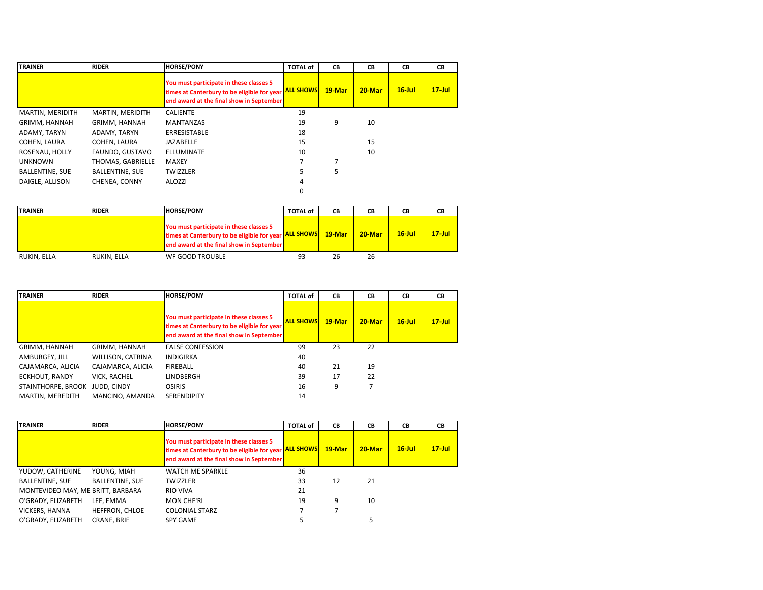| <b>TRAINER</b>         | <b>RIDER</b>           | <b>HORSE/PONY</b>                                                                                                                  | <b>TOTAL of</b>  | CВ     | CВ        | СB        | CВ         |
|------------------------|------------------------|------------------------------------------------------------------------------------------------------------------------------------|------------------|--------|-----------|-----------|------------|
|                        |                        | You must participate in these classes 5<br>times at Canterbury to be eligible for year<br>end award at the final show in September | <b>ALL SHOWS</b> | 19-Mar | $20$ -Mar | $16$ -Jul | $17 -$ Jul |
| MARTIN, MERIDITH       | MARTIN, MERIDITH       | <b>CALIENTE</b>                                                                                                                    | 19               |        |           |           |            |
| GRIMM, HANNAH          | GRIMM, HANNAH          | <b>MANTANZAS</b>                                                                                                                   | 19               | 9      | 10        |           |            |
| ADAMY, TARYN           | ADAMY, TARYN           | <b>ERRESISTABLE</b>                                                                                                                | 18               |        |           |           |            |
| COHEN, LAURA           | COHEN, LAURA           | <b>JAZABELLE</b>                                                                                                                   | 15               |        | 15        |           |            |
| ROSENAU, HOLLY         | FAUNDO, GUSTAVO        | <b>ELLUMINATE</b>                                                                                                                  | 10               |        | 10        |           |            |
| <b>UNKNOWN</b>         | THOMAS, GABRIELLE      | <b>MAXEY</b>                                                                                                                       |                  |        |           |           |            |
| <b>BALLENTINE, SUE</b> | <b>BALLENTINE, SUE</b> | <b>TWIZZLER</b>                                                                                                                    | 5                | 5      |           |           |            |
| DAIGLE, ALLISON        | CHENEA, CONNY          | ALOZZI                                                                                                                             | 4                |        |           |           |            |
|                        |                        |                                                                                                                                    | 0                |        |           |           |            |

| <b>TRAINER</b> | <b>RIDER</b> | <b>HORSE/PONY</b>                                                                                                                                   | <b>TOTAL of</b> | СB       | CВ        | CВ        | CВ         |
|----------------|--------------|-----------------------------------------------------------------------------------------------------------------------------------------------------|-----------------|----------|-----------|-----------|------------|
|                |              | You must participate in these classes 5<br>times at Canterbury to be eligible for year <b>ALL SHOWS</b><br>end award at the final show in September |                 | $19-Mar$ | $20$ -Mar | $16$ -Jul | $17 -$ Jul |
| RUKIN, ELLA    | RUKIN. ELLA  | WF GOOD TROUBLE                                                                                                                                     | 93              | 26       | 26        |           |            |

| <b>TRAINER</b>     | <b>RIDER</b>       | <b>HORSE/PONY</b>                                                                                                                  | <b>TOTAL of</b>  | CВ     | СB        | СB        | CВ         |
|--------------------|--------------------|------------------------------------------------------------------------------------------------------------------------------------|------------------|--------|-----------|-----------|------------|
|                    |                    | You must participate in these classes 5<br>times at Canterbury to be eligible for year<br>end award at the final show in September | <b>ALL SHOWS</b> | 19-Mar | $20$ -Mar | $16$ -Jul | $17 -$ Jul |
| GRIMM, HANNAH      | GRIMM, HANNAH      | <b>FALSE CONFESSION</b>                                                                                                            | 99               | 23     | 22        |           |            |
| AMBURGEY, JILL     | WILLISON, CATRINA  | INDIGIRKA                                                                                                                          | 40               |        |           |           |            |
| CAJAMARCA, ALICIA  | CAJAMARCA, ALICIA  | FIREBALL                                                                                                                           | 40               | 21     | 19        |           |            |
| ECKHOUT, RANDY     | VICK, RACHEL       | <b>LINDBERGH</b>                                                                                                                   | 39               | 17     | 22        |           |            |
| STAINTHORPE, BROOK | <b>JUDD, CINDY</b> | <b>OSIRIS</b>                                                                                                                      | 16               | 9      |           |           |            |
| MARTIN, MEREDITH   | MANCINO, AMANDA    | <b>SERENDIPITY</b>                                                                                                                 | 14               |        |           |           |            |

| <b>TRAINER</b>                    | <b>RIDER</b>           | <b>HORSE/PONY</b>                                                                                                                  | <b>TOTAL of</b>  | CB     | <b>CB</b> | CB        | CВ         |
|-----------------------------------|------------------------|------------------------------------------------------------------------------------------------------------------------------------|------------------|--------|-----------|-----------|------------|
|                                   |                        | You must participate in these classes 5<br>times at Canterbury to be eligible for year<br>end award at the final show in September | <b>ALL SHOWS</b> | 19-Mar | $20$ -Mar | $16$ -Jul | $17 -$ Jul |
| YUDOW, CATHERINE                  | YOUNG, MIAH            | <b>WATCH ME SPARKLE</b>                                                                                                            | 36               |        |           |           |            |
| <b>BALLENTINE, SUE</b>            | <b>BALLENTINE, SUE</b> | <b>TWIZZLER</b>                                                                                                                    | 33               | 12     | 21        |           |            |
| MONTEVIDEO MAY, ME BRITT, BARBARA |                        | <b>RIO VIVA</b>                                                                                                                    | 21               |        |           |           |            |
| O'GRADY, ELIZABETH                | LEE. EMMA              | <b>MON CHE'RI</b>                                                                                                                  | 19               | 9      | 10        |           |            |
| VICKERS, HANNA                    | HEFFRON, CHLOE         | <b>COLONIAL STARZ</b>                                                                                                              |                  |        |           |           |            |
| O'GRADY, ELIZABETH                | <b>CRANE, BRIE</b>     | SPY GAME                                                                                                                           | 5                |        |           |           |            |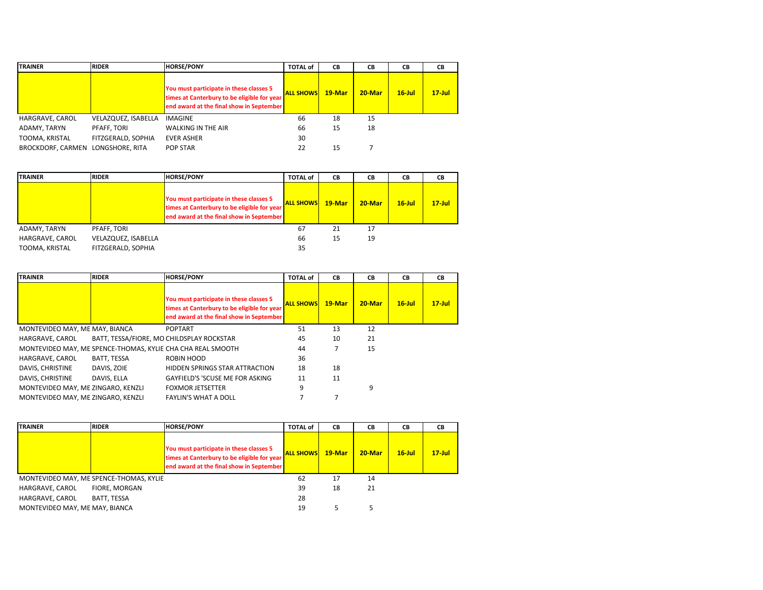| <b>TRAINER</b>           | <b>RIDER</b>        | <b>HORSE/PONY</b>                                                                                                                  | <b>TOTAL of</b>  | CВ       | CВ        | CВ        | CВ         |
|--------------------------|---------------------|------------------------------------------------------------------------------------------------------------------------------------|------------------|----------|-----------|-----------|------------|
|                          |                     | You must participate in these classes 5<br>times at Canterbury to be eligible for year<br>end award at the final show in September | <b>ALL SHOWS</b> | $19-Mar$ | $20$ -Mar | $16$ -Jul | $17 -$ Jul |
| HARGRAVE, CAROL          | VELAZQUEZ, ISABELLA | IMAGINE                                                                                                                            | 66               | 18       | 15        |           |            |
| ADAMY, TARYN             | PFAFF, TORI         | <b>WALKING IN THE AIR</b>                                                                                                          | 66               | 15       | 18        |           |            |
| TOOMA, KRISTAL           | FITZGERALD, SOPHIA  | <b>EVER ASHER</b>                                                                                                                  | 30               |          |           |           |            |
| <b>BROCKDORF, CARMEN</b> | LONGSHORE, RITA     | POP STAR                                                                                                                           | 22               | 15       |           |           |            |

| <b>TRAINER</b>  | <b>RIDER</b>        | <b>HORSE/PONY</b>                                                                                                                  | <b>TOTAL of</b>  | CВ     | CВ        | CВ        | CВ         |
|-----------------|---------------------|------------------------------------------------------------------------------------------------------------------------------------|------------------|--------|-----------|-----------|------------|
|                 |                     | You must participate in these classes 5<br>times at Canterbury to be eligible for year<br>end award at the final show in September | <b>ALL SHOWS</b> | 19-Mar | $20$ -Mar | $16$ -Jul | $17 -$ Jul |
| ADAMY, TARYN    | PFAFF, TORI         |                                                                                                                                    | 67               | 21     | 17        |           |            |
| HARGRAVE, CAROL | VELAZQUEZ, ISABELLA |                                                                                                                                    | 66               | 15     | 19        |           |            |
| TOOMA, KRISTAL  | FITZGERALD, SOPHIA  |                                                                                                                                    | 35               |        |           |           |            |

| <b>TRAINER</b>                     | <b>RIDER</b>                              | <b>HORSE/PONY</b>                                                                                                                  | <b>TOTAL of</b>  | CB     | <b>CB</b> | <b>CB</b> | CВ        |
|------------------------------------|-------------------------------------------|------------------------------------------------------------------------------------------------------------------------------------|------------------|--------|-----------|-----------|-----------|
|                                    |                                           | You must participate in these classes 5<br>times at Canterbury to be eligible for year<br>end award at the final show in September | <b>ALL SHOWS</b> | 19-Mar | $20$ -Mar | $16$ -Jul | $17$ -Jul |
| MONTEVIDEO MAY, ME MAY, BIANCA     |                                           | <b>POPTART</b>                                                                                                                     | 51               | 13     | 12        |           |           |
| HARGRAVE, CAROL                    | BATT. TESSA/FIORE, MO CHILDSPLAY ROCKSTAR |                                                                                                                                    | 45               | 10     | 21        |           |           |
|                                    |                                           | MONTEVIDEO MAY, ME SPENCE-THOMAS, KYLIE CHA CHA REAL SMOOTH                                                                        | 44               |        | 15        |           |           |
| HARGRAVE, CAROL                    | BATT, TESSA                               | ROBIN HOOD                                                                                                                         | 36               |        |           |           |           |
| DAVIS, CHRISTINE                   | DAVIS, ZOIE                               | HIDDEN SPRINGS STAR ATTRACTION                                                                                                     | 18               | 18     |           |           |           |
| DAVIS, CHRISTINE                   | DAVIS, ELLA                               | GAYFIELD'S 'SCUSE ME FOR ASKING                                                                                                    | 11               | 11     |           |           |           |
| MONTEVIDEO MAY, ME ZINGARO, KENZLI |                                           | <b>FOXMOR JETSETTER</b>                                                                                                            | 9                |        | 9         |           |           |
| MONTEVIDEO MAY, ME ZINGARO, KENZLI |                                           | <b>FAYLIN'S WHAT A DOLL</b>                                                                                                        |                  |        |           |           |           |

| <b>TRAINER</b>                 | <b>RIDER</b>                            | <b>HORSE/PONY</b>                                                                                                                  | <b>TOTAL of</b>  | СB       | CВ        | CВ        | CВ         |
|--------------------------------|-----------------------------------------|------------------------------------------------------------------------------------------------------------------------------------|------------------|----------|-----------|-----------|------------|
|                                |                                         | You must participate in these classes 5<br>times at Canterbury to be eligible for year<br>end award at the final show in September | <b>ALL SHOWS</b> | $19-Mar$ | $20$ -Mar | $16$ -Jul | $17 -$ Jul |
|                                | MONTEVIDEO MAY, ME SPENCE-THOMAS, KYLIE |                                                                                                                                    | 62               | 17       | 14        |           |            |
| HARGRAVE, CAROL                | FIORE, MORGAN                           |                                                                                                                                    | 39               | 18       | 21        |           |            |
| HARGRAVE, CAROL                | BATT, TESSA                             |                                                                                                                                    | 28               |          |           |           |            |
| MONTEVIDEO MAY, ME MAY, BIANCA |                                         |                                                                                                                                    | 19               |          |           |           |            |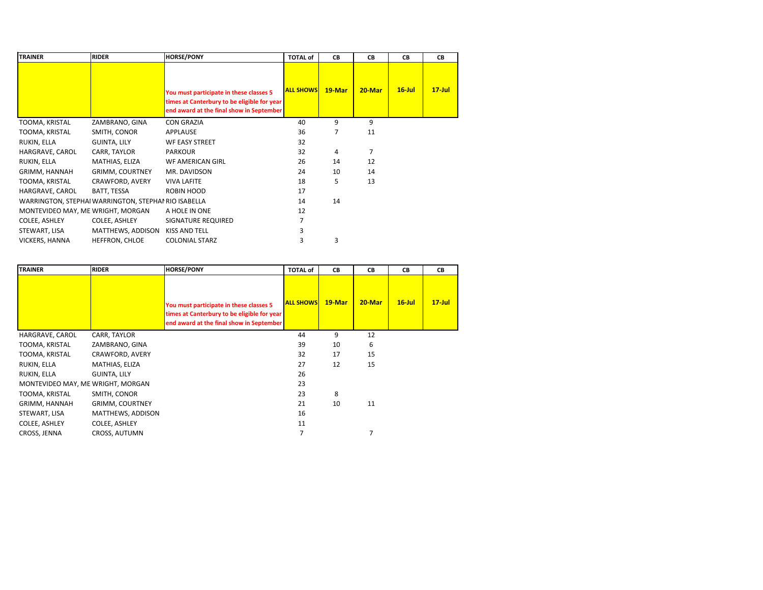| <b>TRAINER</b>                    | <b>RIDER</b>                                         | <b>HORSE/PONY</b>                                                                                                                  | <b>TOTAL of</b>  | CВ     | CВ     | CB        | CВ         |
|-----------------------------------|------------------------------------------------------|------------------------------------------------------------------------------------------------------------------------------------|------------------|--------|--------|-----------|------------|
|                                   |                                                      | You must participate in these classes 5<br>times at Canterbury to be eligible for year<br>end award at the final show in September | <b>ALL SHOWS</b> | 19-Mar | 20-Mar | $16$ -Jul | $17 -$ Jul |
| TOOMA, KRISTAL                    | ZAMBRANO, GINA                                       | <b>CON GRAZIA</b>                                                                                                                  | 40               | 9      | 9      |           |            |
| TOOMA, KRISTAL                    | SMITH, CONOR                                         | <b>APPLAUSE</b>                                                                                                                    | 36               | 7      | 11     |           |            |
| RUKIN, ELLA                       | <b>GUINTA, LILY</b>                                  | <b>WF EASY STREET</b>                                                                                                              | 32               |        |        |           |            |
| HARGRAVE, CAROL                   | CARR, TAYLOR                                         | <b>PARKOUR</b>                                                                                                                     | 32               | 4      | 7      |           |            |
| RUKIN, ELLA                       | MATHIAS, ELIZA                                       | WF AMERICAN GIRL                                                                                                                   | 26               | 14     | 12     |           |            |
| GRIMM, HANNAH                     | <b>GRIMM, COURTNEY</b>                               | MR. DAVIDSON                                                                                                                       | 24               | 10     | 14     |           |            |
| TOOMA, KRISTAL                    | CRAWFORD, AVERY                                      | <b>VIVA LAFITE</b>                                                                                                                 | 18               | 5      | 13     |           |            |
| HARGRAVE, CAROL                   | BATT, TESSA                                          | ROBIN HOOD                                                                                                                         | 17               |        |        |           |            |
|                                   | WARRINGTON, STEPHAI WARRINGTON, STEPHAI RIO ISABELLA |                                                                                                                                    | 14               | 14     |        |           |            |
| MONTEVIDEO MAY, ME WRIGHT, MORGAN |                                                      | A HOLE IN ONE                                                                                                                      | 12               |        |        |           |            |
| COLEE, ASHLEY                     | COLEE, ASHLEY                                        | SIGNATURE REQUIRED                                                                                                                 | 7                |        |        |           |            |
| STEWART, LISA                     | MATTHEWS, ADDISON                                    | KISS AND TELL                                                                                                                      | 3                |        |        |           |            |
| VICKERS, HANNA                    | HEFFRON, CHLOE                                       | <b>COLONIAL STARZ</b>                                                                                                              | 3                | 3      |        |           |            |

| <b>TRAINER</b>                    | <b>RIDER</b>           | <b>HORSE/PONY</b>                                                                                                                  | <b>TOTAL of</b>  | CВ     | CВ     | CВ        | CВ         |
|-----------------------------------|------------------------|------------------------------------------------------------------------------------------------------------------------------------|------------------|--------|--------|-----------|------------|
|                                   |                        | You must participate in these classes 5<br>times at Canterbury to be eligible for year<br>end award at the final show in September | <b>ALL SHOWS</b> | 19-Mar | 20-Mar | $16$ -Jul | $17 -$ Jul |
| HARGRAVE, CAROL                   | CARR, TAYLOR           |                                                                                                                                    | 44               | 9      | 12     |           |            |
| TOOMA, KRISTAL                    | ZAMBRANO, GINA         |                                                                                                                                    | 39               | 10     | 6      |           |            |
| TOOMA, KRISTAL                    | CRAWFORD, AVERY        |                                                                                                                                    | 32               | 17     | 15     |           |            |
| RUKIN, ELLA                       | MATHIAS, ELIZA         |                                                                                                                                    | 27               | 12     | 15     |           |            |
| RUKIN, ELLA                       | <b>GUINTA, LILY</b>    |                                                                                                                                    | 26               |        |        |           |            |
| MONTEVIDEO MAY, ME WRIGHT, MORGAN |                        |                                                                                                                                    | 23               |        |        |           |            |
| TOOMA, KRISTAL                    | SMITH, CONOR           |                                                                                                                                    | 23               | 8      |        |           |            |
| GRIMM, HANNAH                     | <b>GRIMM, COURTNEY</b> |                                                                                                                                    | 21               | 10     | 11     |           |            |
| STEWART, LISA                     | MATTHEWS, ADDISON      |                                                                                                                                    | 16               |        |        |           |            |
| COLEE, ASHLEY                     | COLEE, ASHLEY          |                                                                                                                                    | 11               |        |        |           |            |
| CROSS, JENNA                      | <b>CROSS, AUTUMN</b>   |                                                                                                                                    | 7                |        |        |           |            |